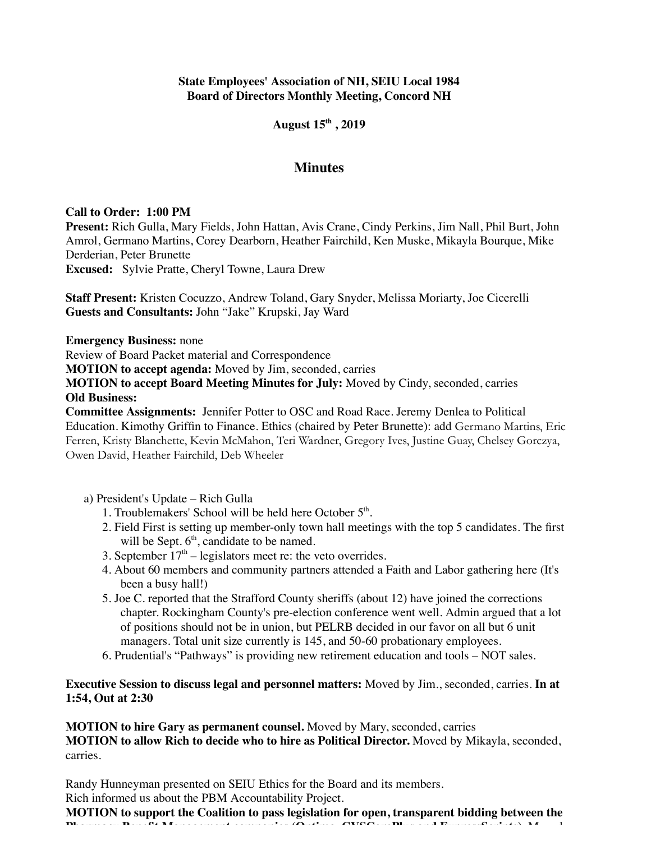### **State Employees' Association of NH, SEIU Local 1984 Board of Directors Monthly Meeting, Concord NH**

### **August 15th , 2019**

## **Minutes**

#### **Call to Order: 1:00 PM**

**Present:** Rich Gulla, Mary Fields, John Hattan, Avis Crane, Cindy Perkins, Jim Nall, Phil Burt, John Amrol, Germano Martins, Corey Dearborn, Heather Fairchild, Ken Muske, Mikayla Bourque, Mike Derderian, Peter Brunette

**Excused:** Sylvie Pratte, Cheryl Towne, Laura Drew

**Staff Present:** Kristen Cocuzzo, Andrew Toland, Gary Snyder, Melissa Moriarty, Joe Cicerelli **Guests and Consultants:** John "Jake" Krupski, Jay Ward

**Emergency Business:** none

Review of Board Packet material and Correspondence

**MOTION to accept agenda:** Moved by Jim, seconded, carries

**MOTION to accept Board Meeting Minutes for July:** Moved by Cindy, seconded, carries **Old Business:**

**Committee Assignments:** Jennifer Potter to OSC and Road Race. Jeremy Denlea to Political Education. Kimothy Griffin to Finance. Ethics (chaired by Peter Brunette): add Germano Martins, Eric Ferren, Kristy Blanchette, Kevin McMahon, Teri Wardner, Gregory Ives, Justine Guay, Chelsey Gorczya, Owen David, Heather Fairchild, Deb Wheeler

a) President's Update – Rich Gulla

- 1. Troublemakers' School will be held here October 5<sup>th</sup>.
- 2. Field First is setting up member-only town hall meetings with the top 5 candidates. The first will be Sept. 6<sup>th</sup>, candidate to be named.
- 3. September  $17<sup>th</sup>$  legislators meet re: the veto overrides.
- 4. About 60 members and community partners attended a Faith and Labor gathering here (It's been a busy hall!)
- 5. Joe C. reported that the Strafford County sheriffs (about 12) have joined the corrections chapter. Rockingham County's pre-election conference went well. Admin argued that a lot of positions should not be in union, but PELRB decided in our favor on all but 6 unit managers. Total unit size currently is 145, and 50-60 probationary employees.
- 6. Prudential's "Pathways" is providing new retirement education and tools NOT sales.

**Executive Session to discuss legal and personnel matters:** Moved by Jim., seconded, carries. **In at 1:54, Out at 2:30**

**MOTION to hire Gary as permanent counsel.** Moved by Mary, seconded, carries **MOTION to allow Rich to decide who to hire as Political Director.** Moved by Mikayla, seconded, carries.

Randy Hunneyman presented on SEIU Ethics for the Board and its members. Rich informed us about the PBM Accountability Project.

**MOTION to support the Coalition to pass legislation for open, transparent bidding between the Pharmacy Benefit Management companies (Optima, CVSCarePlus and ExpressScripts).** Moved